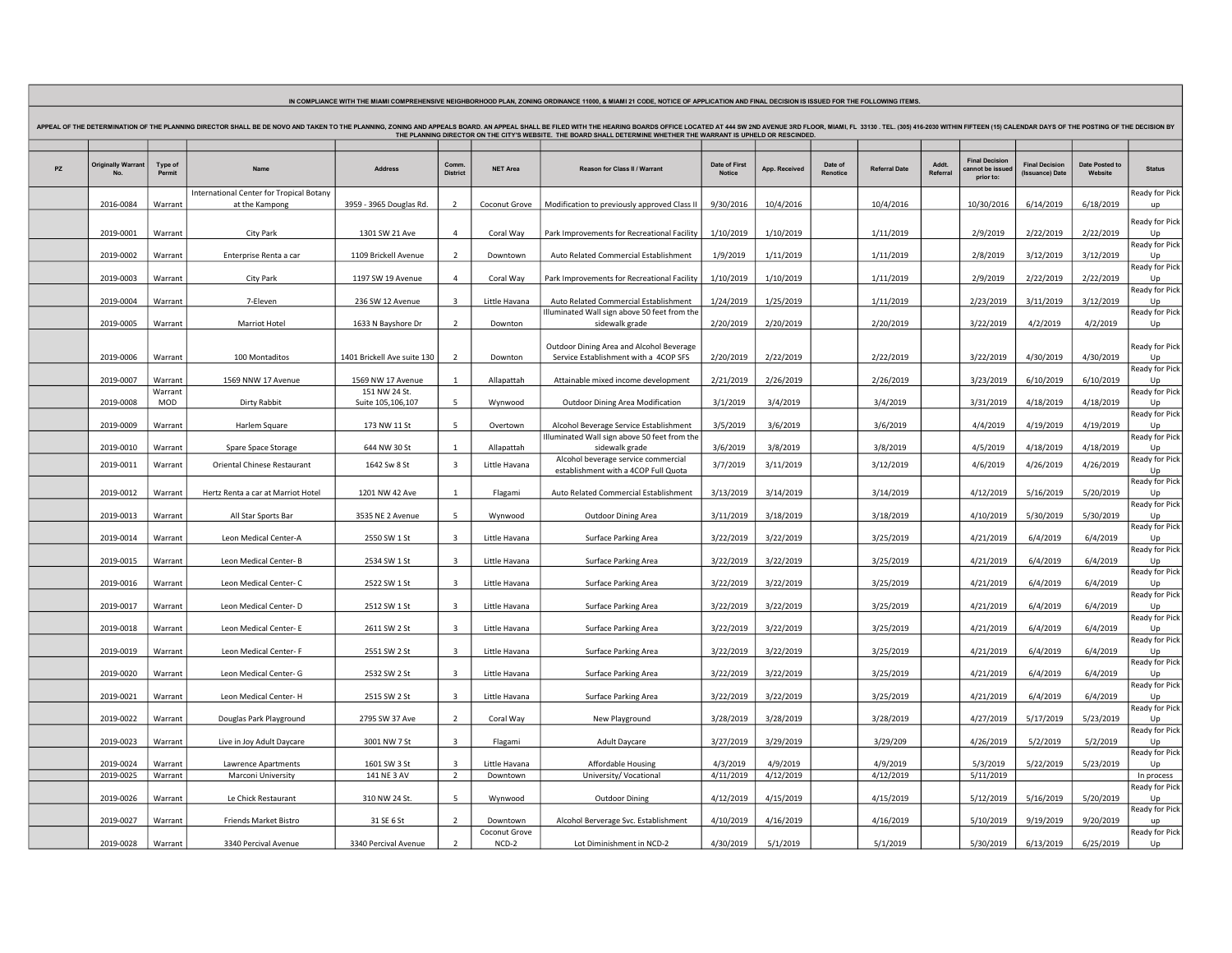| APPEAL OF THE DETERMINATION OF THE PLANNING DIRECTOR SHALL BE DE NOVO AND TAKEN TO THE PLANNING, ZONING AND APPEALS BOARD. AN APPEALS BOARD. AN APPEALS BOARD ARE DERIC DITH THE HEARING BOARDS OFFICE LOCATED AT 444 SW 2ND A<br>THE PLANNING DIRECTOR ON THE CITY'S WEBSITE. THE BOARD SHALL DETERMINE WHETHER THE WARRANT IS UPHELD OR RESCINDED. |                          |                    |                                                            |                                    |                                  |                                      |                                                                                   |                                |                        |                     |                        |                 |                                                      |                                          |                           |                                  |
|------------------------------------------------------------------------------------------------------------------------------------------------------------------------------------------------------------------------------------------------------------------------------------------------------------------------------------------------------|--------------------------|--------------------|------------------------------------------------------------|------------------------------------|----------------------------------|--------------------------------------|-----------------------------------------------------------------------------------|--------------------------------|------------------------|---------------------|------------------------|-----------------|------------------------------------------------------|------------------------------------------|---------------------------|----------------------------------|
| PZ                                                                                                                                                                                                                                                                                                                                                   | <b>Originally Warran</b> | Type of<br>Permi   | Name                                                       | <b>Address</b>                     | Comm<br><b>District</b>          | <b>NET Area</b>                      | Reason for Class II / Warrant                                                     | Date of First<br><b>Notice</b> | App. Received          | Date of<br>Renotice | <b>Referral Date</b>   | Addt<br>Referra | <b>Final Decision</b><br>annot be issue<br>prior to: | <b>Final Decision</b><br>(Issuance) Date | Date Posted to<br>Website | <b>Status</b>                    |
|                                                                                                                                                                                                                                                                                                                                                      | 2016-0084                | Warrant            | International Center for Tropical Botany<br>at the Kampong | 3959 - 3965 Douglas Rd.            | $\overline{\phantom{0}}$         | Coconut Grove                        | Modification to previously approved Class II                                      | 9/30/2016                      | 10/4/2016              |                     | 10/4/2016              |                 | 10/30/2016                                           | 6/14/2019                                | 6/18/2019                 | Ready for Pick                   |
|                                                                                                                                                                                                                                                                                                                                                      | 2019-0001                | Warrant            | <b>City Park</b>                                           | 1301 SW 21 Ave                     | $\overline{a}$                   | Coral Way                            | Park Improvements for Recreational Facility                                       | 1/10/2019                      | 1/10/2019              |                     | 1/11/2019              |                 | 2/9/2019                                             | 2/22/2019                                | 2/22/2019                 | Ready for Pick                   |
|                                                                                                                                                                                                                                                                                                                                                      | 2019-0002                | Warrant            | Enterprise Renta a car                                     | 1109 Brickell Avenue               | $\overline{z}$                   | Downtown                             | Auto Related Commercial Establishment                                             | 1/9/2019                       | 1/11/2019              |                     | 1/11/2019              |                 | 2/8/2019                                             | 3/12/2019                                | 3/12/2019                 | Ready for Pick                   |
|                                                                                                                                                                                                                                                                                                                                                      | 2019-0003                | Warrant            | <b>City Park</b>                                           | 1197 SW 19 Avenue                  | 4                                | Coral Way                            | Park Improvements for Recreational Facility                                       | 1/10/2019                      | 1/10/2019              |                     | 1/11/2019              |                 | 2/9/2019                                             | 2/22/2019                                | 2/22/2019                 | Ready for Pick                   |
|                                                                                                                                                                                                                                                                                                                                                      | 2019-0004                | Warrant            | 7-Eleven                                                   | 236 SW 12 Avenue                   | $\overline{3}$                   | Little Havana                        | Auto Related Commercial Establishment                                             | 1/24/2019                      | 1/25/2019              |                     | 1/11/2019              |                 | 2/23/2019                                            | 3/11/2019                                | 3/12/2019                 | Ready for Pick                   |
|                                                                                                                                                                                                                                                                                                                                                      | 2019-0005                | Warrant            | Marriot Hotel                                              | 1633 N Bayshore Dr                 | $\overline{2}$                   | Downton                              | Illuminated Wall sign above 50 feet from the<br>sidewalk grade                    | 2/20/2019                      | 2/20/2019              |                     | 2/20/2019              |                 | 3/22/2019                                            | 4/2/2019                                 | 4/2/2019                  | Ready for Pick                   |
|                                                                                                                                                                                                                                                                                                                                                      | 2019-0006                | Warrant            | 100 Montaditos                                             | 1401 Brickell Ave suite 130        | $\overline{2}$                   | Downton                              | Outdoor Dining Area and Alcohol Beverage<br>Service Establishment with a 4COP SFS | 2/20/2019                      | 2/22/2019              |                     | 2/22/2019              |                 | 3/22/2019                                            | 4/30/2019                                | 4/30/2019                 | Ready for Pick                   |
|                                                                                                                                                                                                                                                                                                                                                      | 2019-0007                | Warrant            | 1569 NNW 17 Avenue                                         | 1569 NW 17 Avenue                  |                                  | Allapattah                           | Attainable mixed income development                                               | 2/21/2019                      | 2/26/2019              |                     | 2/26/2019              |                 | 3/23/2019                                            | 6/10/2019                                | 6/10/2019                 | Ready for Pick                   |
|                                                                                                                                                                                                                                                                                                                                                      | 2019-0008                | Warrant<br>MOD     | Dirty Rabbit                                               | 151 NW 24 St.<br>Suite 105,106,107 | 5                                | Wynwood                              | Outdoor Dining Area Modification                                                  | 3/1/2019                       | 3/4/2019               |                     | 3/4/2019               |                 | 3/31/2019                                            | 4/18/2019                                | 4/18/2019                 | Ready for Pick                   |
|                                                                                                                                                                                                                                                                                                                                                      | 2019-0009                | Warrant            | Harlem Square                                              | 173 NW 11 St                       | -5                               | Overtown                             | Alcohol Beverage Service Establishment                                            | 3/5/2019                       | 3/6/2019               |                     | 3/6/2019               |                 | 4/4/2019                                             | 4/19/2019                                | 4/19/2019                 | Ready for Pick                   |
|                                                                                                                                                                                                                                                                                                                                                      | 2019-0010                | Warrant            | Spare Space Storage                                        | 644 NW 30 St                       |                                  | Allapattah                           | Illuminated Wall sign above 50 feet from the<br>sidewalk grade                    | 3/6/2019                       | 3/8/2019               |                     | 3/8/2019               |                 | 4/5/2019                                             | 4/18/2019                                | 4/18/2019                 | Ready for Pick                   |
|                                                                                                                                                                                                                                                                                                                                                      | 2019-0011                | Warrant            | Oriental Chinese Restaurant                                | 1642 Sw 8 St                       | $\overline{3}$                   | Little Havana                        | Alcohol beverage service commercial<br>establishment with a 4COP Full Quota       | 3/7/2019                       | 3/11/2019              |                     | 3/12/2019              |                 | 4/6/2019                                             | 4/26/2019                                | 4/26/2019                 | Ready for Pick                   |
|                                                                                                                                                                                                                                                                                                                                                      | 2019-0012                | Warrant            | Hertz Renta a car at Marriot Hotel                         | 1201 NW 42 Ave                     | $\mathbf{1}$                     | Flagami                              | Auto Related Commercial Establishment                                             | 3/13/2019                      | 3/14/2019              |                     | 3/14/2019              |                 | 4/12/2019                                            | 5/16/2019                                | 5/20/2019                 | Ready for Pick<br>Ready for Pick |
|                                                                                                                                                                                                                                                                                                                                                      | 2019-0013                | Warrant            | All Star Sports Bar                                        | 3535 NE 2 Avenue                   | 5                                | Wynwood                              | <b>Outdoor Dining Area</b>                                                        | 3/11/2019                      | 3/18/2019              |                     | 3/18/2019              |                 | 4/10/2019                                            | 5/30/2019                                | 5/30/2019                 | Ready for Pick                   |
|                                                                                                                                                                                                                                                                                                                                                      | 2019-0014                | Warrant            | Leon Medical Center-A                                      | 2550 SW 1 St                       |                                  | Little Havana                        | Surface Parking Area                                                              | 3/22/2019                      | 3/22/2019              |                     | 3/25/2019              |                 | 4/21/2019                                            | 6/4/2019                                 | 6/4/2019                  | Ready for Pick                   |
|                                                                                                                                                                                                                                                                                                                                                      | 2019-0015                | Warrant            | Leon Medical Center-B                                      | 2534 SW 1 St                       | 3                                | Little Havana                        | Surface Parking Area                                                              | 3/22/2019                      | 3/22/2019              |                     | 3/25/2019              |                 | 4/21/2019                                            | 6/4/2019                                 | 6/4/2019                  | Ready for Pick                   |
|                                                                                                                                                                                                                                                                                                                                                      | 2019-0016                | Warrant            | Leon Medical Center-C                                      | 2522 SW 1 St                       | $\overline{3}$                   | Little Havana                        | Surface Parking Area                                                              | 3/22/2019                      | 3/22/2019              |                     | 3/25/2019              |                 | 4/21/2019                                            | 6/4/2019                                 | 6/4/2019                  | Ready for Pick                   |
|                                                                                                                                                                                                                                                                                                                                                      | 2019-0017                | Warrant            | Leon Medical Center-D                                      | 2512 SW 1 St                       | -3                               | Little Havana                        | Surface Parking Area                                                              | 3/22/2019                      | 3/22/2019              |                     | 3/25/2019              |                 | 4/21/2019                                            | 6/4/2019                                 | 6/4/2019                  | Ready for Pick                   |
|                                                                                                                                                                                                                                                                                                                                                      | 2019-0018                | Warrant            | Leon Medical Center-E                                      | 2611 SW 2 St                       | 3                                | Little Havana                        | Surface Parking Area                                                              | 3/22/2019                      | 3/22/2019              |                     | 3/25/2019              |                 | 4/21/2019                                            | 6/4/2019                                 | 6/4/2019                  | Ready for Pick                   |
|                                                                                                                                                                                                                                                                                                                                                      | 2019-0019                | Warrant            | Leon Medical Center- F                                     | 2551 SW 2 St                       | $\overline{\mathbf{3}}$          | Little Havana                        | Surface Parking Area                                                              | 3/22/2019                      | 3/22/2019              |                     | 3/25/2019              |                 | 4/21/2019                                            | 6/4/2019                                 | 6/4/2019                  | Ready for Pick                   |
|                                                                                                                                                                                                                                                                                                                                                      | 2019-0020<br>2019-0021   | Warrant<br>Warrant | Leon Medical Center- G<br>Leon Medical Center-H            | 2532 SW 2 St<br>2515 SW 2 St       | 3<br>$\overline{3}$              | Little Havana<br>Little Havana       | Surface Parking Area<br>Surface Parking Area                                      | 3/22/2019<br>3/22/2019         | 3/22/2019<br>3/22/2019 |                     | 3/25/2019<br>3/25/2019 |                 | 4/21/2019<br>4/21/2019                               | 6/4/2019<br>6/4/2019                     | 6/4/2019<br>6/4/2019      | Ready for Pick                   |
|                                                                                                                                                                                                                                                                                                                                                      | 2019-0022                | Warrant            | Douglas Park Playground                                    | 2795 SW 37 Ave                     | $\overline{2}$                   | Coral Way                            | New Playground                                                                    | 3/28/2019                      | 3/28/2019              |                     | 3/28/2019              |                 | 4/27/2019                                            | 5/17/2019                                | 5/23/2019                 | Ready for Pick                   |
|                                                                                                                                                                                                                                                                                                                                                      | 2019-0023                | Warrant            | Live in Joy Adult Daycare                                  | 3001 NW 7 St                       | $\mathbf{3}$                     | Flagami                              | <b>Adult Daycare</b>                                                              | 3/27/2019                      | 3/29/2019              |                     | 3/29/209               |                 | 4/26/2019                                            | 5/2/2019                                 | 5/2/2019                  | Ready for Pick                   |
|                                                                                                                                                                                                                                                                                                                                                      | 2019-0024                | Warrant            | Lawrence Apartments                                        | 1601 SW 3 St                       | $\overline{3}$                   | Little Havana                        | <b>Affordable Housing</b>                                                         | 4/3/2019                       | 4/9/2019               |                     | 4/9/2019               |                 | 5/3/2019                                             | 5/22/2019                                | 5/23/2019                 | Ready for Pick                   |
|                                                                                                                                                                                                                                                                                                                                                      | 2019-0025                | Warrant            | Marconi University                                         | 141 NE 3 AV                        | $\overline{2}$                   | Downtown                             | University/ Vocational                                                            | 4/11/2019                      | 4/12/2019              |                     | 4/12/2019              |                 | 5/11/2019                                            |                                          |                           | In process<br>Ready for Pick     |
|                                                                                                                                                                                                                                                                                                                                                      | 2019-0026                | Warrant            | Le Chick Restaurant                                        | 310 NW 24 St.                      | 5                                | Wynwood                              | <b>Outdoor Dining</b>                                                             | 4/12/2019                      | 4/15/2019              |                     | 4/15/2019              |                 | 5/12/2019                                            | 5/16/2019                                | 5/20/2019                 | Ready for Pick                   |
|                                                                                                                                                                                                                                                                                                                                                      | 2019-0027<br>2019-0028   | Warrant<br>Warrant | Friends Market Bistro<br>3340 Percival Avenue              | 31 SE 6 St<br>3340 Percival Avenue | $\overline{2}$<br>$\overline{z}$ | Downtown<br>Coconut Grove<br>$NCD-2$ | Alcohol Berverage Svc. Establishment<br>Lot Diminishment in NCD-2                 | 4/10/2019<br>4/30/2019         | 4/16/2019<br>5/1/2019  |                     | 4/16/2019<br>5/1/2019  |                 | 5/10/2019<br>5/30/2019                               | 9/19/2019<br>6/13/2019                   | 9/20/2019<br>6/25/2019    | Ready for Pick                   |